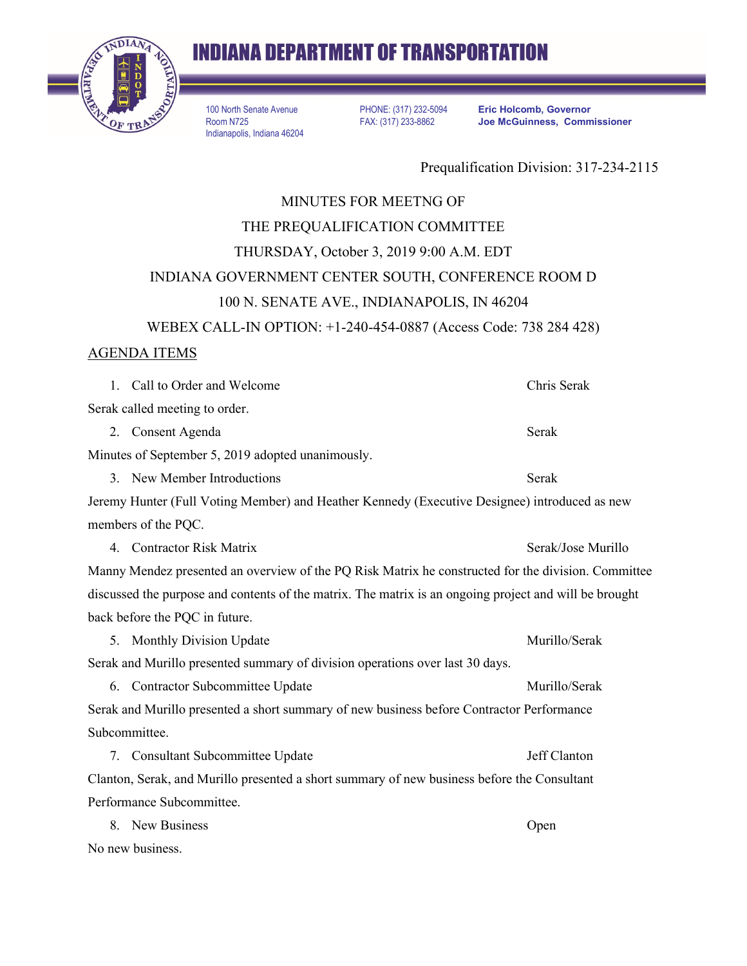

# **INDIANA DEPARTMENT OF TRANSPORTATION**

100 North Senate Avenue Room N725 Indianapolis, Indiana 46204

PHONE: (317) 232-5094 FAX: (317) 233-8862

**Eric Holcomb, Governor Joe McGuinness, Commissioner**

Prequalification Division: 317-234-2115

## MINUTES FOR MEETNG OF THE PREQUALIFICATION COMMITTEE THURSDAY, October 3, 2019 9:00 A.M. EDT INDIANA GOVERNMENT CENTER SOUTH, CONFERENCE ROOM D 100 N. SENATE AVE., INDIANAPOLIS, IN 46204 WEBEX CALL-IN OPTION: +1-240-454-0887 (Access Code: 738 284 428)

### AGENDA ITEMS

1. Call to Order and Welcome Chris Serak Serak called meeting to order. 2. Consent Agenda Serak Minutes of September 5, 2019 adopted unanimously. 3. New Member Introductions Serak Jeremy Hunter (Full Voting Member) and Heather Kennedy (Executive Designee) introduced as new members of the PQC. 4. Contractor Risk Matrix **Serak**/Jose Murillo Manny Mendez presented an overview of the PQ Risk Matrix he constructed for the division. Committee discussed the purpose and contents of the matrix. The matrix is an ongoing project and will be brought back before the PQC in future. 5. Monthly Division Update Murillo/Serak Serak and Murillo presented summary of division operations over last 30 days. 6. Contractor Subcommittee Update Murillo/Serak Serak and Murillo presented a short summary of new business before Contractor Performance Subcommittee. 7. Consultant Subcommittee Update Jeff Clanton Clanton, Serak, and Murillo presented a short summary of new business before the Consultant Performance Subcommittee. 8. New Business Open No new business.